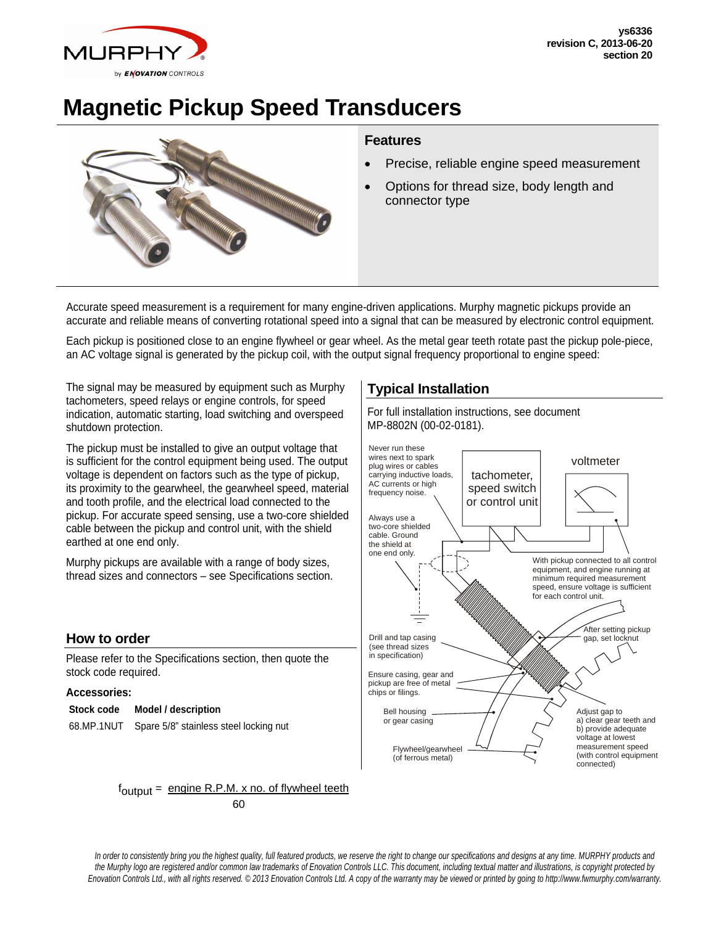

# **Magnetic Pickup Speed Transducers**



### **Features**

- Precise, reliable engine speed measurement
- Options for thread size, body length and connector type

Accurate speed measurement is a requirement for many engine-driven applications. Murphy magnetic pickups provide an accurate and reliable means of converting rotational speed into a signal that can be measured by electronic control equipment.

Each pickup is positioned close to an engine flywheel or gear wheel. As the metal gear teeth rotate past the pickup pole-piece, an AC voltage signal is generated by the pickup coil, with the output signal frequency proportional to engine speed:

The signal may be measured by equipment such as Murphy tachometers, speed relays or engine controls, for speed indication, automatic starting, load switching and overspeed shutdown protection.

The pickup must be installed to give an output voltage that is sufficient for the control equipment being used. The output voltage is dependent on factors such as the type of pickup, its proximity to the gearwheel, the gearwheel speed, material and tooth profile, and the electrical load connected to the pickup. For accurate speed sensing, use a two-core shielded cable between the pickup and control unit, with the shield earthed at one end only.

Murphy pickups are available with a range of body sizes, thread sizes and connectors – see Specifications section.

#### **How to order**

Please refer to the Specifications section, then quote the stock code required.

#### **Accessories:**

#### **Stock code Model / description**

68.MP.1NUT Spare 5/8" stainless steel locking nut

## **Typical Installation**

For full installation instructions, see document MP-8802N (00-02-0181).



 $f_{\text{output}} = \text{engine R.P.M. x no. of flywheel teeth}$ **60** 

*In order to consistently bring you the highest quality, full featured products, we reserve the right to change our specifications and designs at any time. MURPHY products and the Murphy logo are registered and/or common law trademarks of Enovation Controls LLC. This document, including textual matter and illustrations, is copyright protected by Enovation Controls Ltd., with all rights reserved. © 2013 Enovation Controls Ltd. A copy of the warranty may be viewed or printed by going to http://www.fwmurphy.com/warranty.*